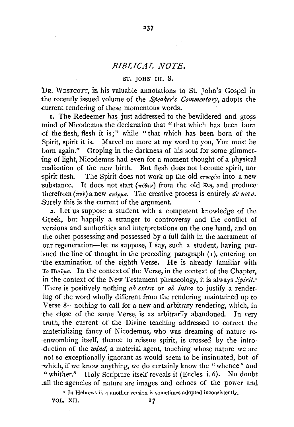## *BIBLICAL NOTE.*

237

## ST. JOHN III. 8.

DR. WESTCOTT, in his valuable annotations to St. John's Gospel in the recently issued volume of the *Speaker's Commentary*, adopts the current rendering of these momentous words.

1. The Redeemer has just addressed to the bewildered and gross mind of Nicodemus the declaration that " that which has been born -of the flesh, flesh it is;" while " that which has been born of the Spirit, spirit it is. Marvel no more at my word to you, You must be born again." Groping in the darkness of his soul for some glimmering of light, Nicodemus had even for a moment thought of a physical realization of the new birth. But flesh does not become spirit, nor spirit flesh. The Spirit does not work up the old  $\sigma r \alpha \chi \epsilon \tilde{a}$  into a new substance. It does not start ( $\pi \delta \theta \epsilon \nu$ ) from the old  $\ell \lambda \eta$ , and produce therefrom  $(\pi \circ \tilde{\nu})$  a new  $\sigma \pi \xi \rho \mu \alpha$ . The creative process is entirely *de novo*. .Surely this is the current of the argument.

2. Let us suppose a student with a competent knowledge of the Greek, but happily a stranger to controversy and the conflict of versions and authorities and interpretations on the one hand, and on the other possessing and possessed by a full faith in the sacrament of our regeneration-let us suppose, I say, such a student, having pursued the line of thought in the preceding paragraph  $(r)$ , entering on the examination of the eighth Verse. He is already familiar with To  $\Pi$ νεῦμα. In the context of the Verse, in the context of the Chapter, .in the context of the New Testament phraseology, it is always *Spirit.'*  There is positively nothing *ab extra* or *ab intra* to justify a rendering of the word wholly different from the rendering maintained up to Verse 8-nothing to call for a new and arbitrary rendering, which, in the close of the same Verse, is as arbitrarily abandoned. In very truth, the current of the Divine teaching addressed to correct the materializing fancy of Nicodemus, who was dreaming of nature re- ·enwombing itself, thence to reissue spirit, is crossed by the intro- -duction of the *wind,* a material agent, touching whose nature we are not so exceptionally ignorant as would seem to be insinuated, but of -which, if we know anything, we do certainly know the "whence" and "whither." Holy Scripture itself reveals it (Eccles. i. 6). No doubt ..all the agencies of nature are images and echoes of the power and

' In Hebrews ii. 4 another version is sometimes adopted inconsistently,

vol. XII. 17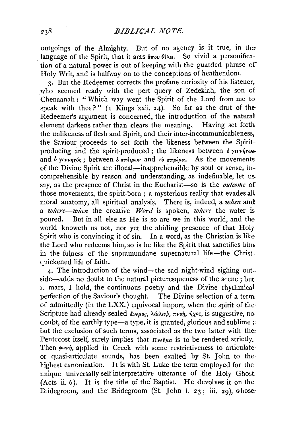outgoings of the Almighty. But of no agency is it true, in the language of the Spirit, that it acts  $\ddot{v}$   $\pi$ ov  $\theta$ *i* $\lambda$ *et.* So vivid a personification of a natural power is out of keeping with the guarded phrase of Holy Writ, and is halfway on to the conceptions of heathendom.

3· But the Redeemer corrects the profane curiosity of his listener, who seemed ready with the pert query of Zedekiah, the son of Chenaanah : "Which way went the Spirit of the Lord from me to speak with thee?" ( $\overline{1}$  Kings xxii. 24). So far as the drift of the Redeemer's argument is concerned, the introduction of the natural clement darkens rather than clears the meaning. Having set forth the unlikeness of flesh and Spirit, and their inter-incommunicableness, the Saviour proceeds to set forth the likeness between the Spiritproducing and the spirit-produced : the likeness between  $\delta$  *y*tv<sup> $\delta$ </sup> and  $\dot{\theta}$  yevvnróc; between  $\dot{\theta}$  orthow and ro  $\dot{\theta}$  orthomas. As the movements of the Divine Spirit are illocal—inapprehensible by soul or sense, incomprehensible by reason and understanding, as indefinable, let us. say, as the presence of Christ in the Eucharist-so is the *outcome* of those movements, the spirit-born ; a mysterious reality that evades all moral anatomy, all spiritual analysis. There is, indeed, a *when* and a *1ohere-when* the creative *Tflord* is spoken, *where* the water is poured. But in all else as He is so are we in this world, and the world knoweth us not, nor yet the abiding presence of that Holy Spirit who is convincing it of sin. In a word, as the Christian is like the Lord who redeems him, so is he like the Spirit that sanctifies him. in the fulness of the supramundane supernatural life-the Christquickened life of faith.

4· The introduction of the wind-the sad night-wind sighing outside-adds no doubt to the natural picturesqueness of the scene ; but it mars, I hold, the continuous poetry and the Divine rhythmical perfection of the Saviour's thought. The Divine selection of a term) of admittedly (in the LXX.) equivocal import, when the spirit of the· Scripture had already sealed *άνεμος*, λάιλαψ, *πνοή, ήχος*, is suggestive, no doubt, of the earthly type—a type, it is granted, glorious and sublime  $\cdot$ but the exclusion of such terms, associated as the two latter with the: Pentecost itself, surely implies that  $\Pi$ <sub>re</sub> $\tilde{v}$ <sub>pa</sub> is to be rendered strictly. Then  $\phi$ wví, applied in Greek with some restrictiveness to articulate or quasi-articulate sounds, has been exalted by St. John to the highest canonization. It is with St. Luke the term employed for the: unique universally-self-interpretative utterance of the Holy Ghost (Acts ii. 6). It is the title of the' Baptist. He devolves it on the. Bridegroom, and the Bridegroom (St. John i.  $23$ ; iii.  $29$ ), whose: